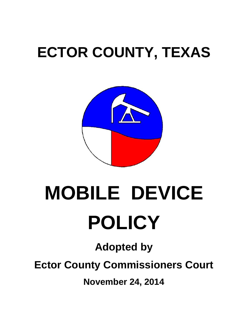## **ECTOR COUNTY, TEXAS**



# **MOBILE DEVICE POLICY**

**Adopted by** 

**Ector County Commissioners Court** 

**November 24, 2014**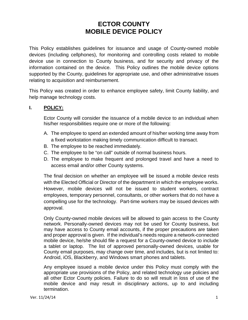### **ECTOR COUNTY MOBILE DEVICE POLICY**

This Policy establishes guidelines for issuance and usage of County-owned mobile devices (including cellphones), for monitoring and controlling costs related to mobile device use in connection to County business, and for security and privacy of the information contained on the device. This Policy outlines the mobile device options supported by the County, guidelines for appropriate use, and other administrative issues relating to acquisition and reimbursement.

This Policy was created in order to enhance employee safety, limit County liability, and help manage technology costs.

#### **I. POLICY:**

Ector County will consider the issuance of a mobile device to an individual when his/her responsibilities require one or more of the following:

- A. The employee to spend an extended amount of his/her working time away from a fixed workstation making timely communication difficult to transact.
- B. The employee to be reached immediately.
- C. The employee to be "on call" outside of normal business hours.
- D. The employee to make frequent and prolonged travel and have a need to access email and/or other County systems.

The final decision on whether an employee will be issued a mobile device rests with the Elected Official or Director of the department in which the employee works. However, mobile devices will not be issued to student workers, contract employees, temporary personnel, consultants, or other workers that do not have a compelling use for the technology. Part-time workers may be issued devices with approval.

Only County-owned mobile devices will be allowed to gain access to the County network. Personally-owned devices may not be used for County business, but may have access to County email accounts, if the proper precautions are taken and proper approval is given. If the individual's needs require a network-connected mobile device, he/she should file a request for a County-owned device to include a tablet or laptop. The list of approved personally-owned devices, usable for County email purposes, may change over time, and includes, but is not limited to: Android, iOS, Blackberry, and Windows smart phones and tablets.

Any employee issued a mobile device under this Policy must comply with the appropriate use provisions of the Policy, and related technology use policies and all other Ector County policies. Failure to do so will result in loss of use of the mobile device and may result in disciplinary actions, up to and including termination.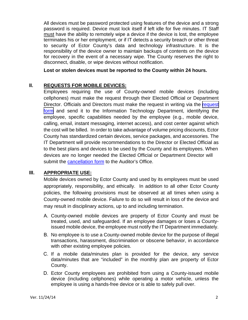All devices must be password protected using features of the device and a strong password is required. Device must lock itself if left idle for five minutes. IT Staff must have the ability to remotely wipe a device if the device is lost, the employee terminates his or her employment, or if IT detects a security breach or other threat to security of Ector County's data and technology infrastructure. It is the responsibility of the device owner to maintain backups of contents on the device for recovery in the event of a necessary wipe. The County reserves the right to disconnect, disable, or wipe devices without notification.

**Lost or stolen devices must be reported to the County within 24 hours.** 

#### **II. REQUESTS FOR MOBILE DEVICES:**

Employees requiring the use of County-owned mobile devices (including cellphones) must make the request through their Elected Official or Department Director. Officials and Directors must make the [request](http://www.co.ector.tx.us/upload/page/7928/docs/HR/CELL%20PHONE%20REQUEST%20FORM.pdf) in writing via the request [form](http://www.co.ector.tx.us/upload/page/7928/docs/HR/CELL%20PHONE%20REQUEST%20FORM.pdf) and send it to the Information Technology Department, identifying the employee, specific capabilities needed by the employee (e.g., mobile device, calling, email, instant messaging, internet access), and cost center against which the cost will be billed. In order to take advantage of volume pricing discounts, Ector County has standardized certain devices, service packages, and accessories. The IT Department will provide recommendations to the Director or Elected Official as to the best plans and devices to be used by the County and its employees. When devices are no longer needed the Elected Official or Department Director will submit the [cancellation form](http://tools.cira.state.tx.us/users/0044/docs/HR/Cell%20Phone%20Cancelation%20Form.PDF) to the Auditor's Office.

#### **III. APPROPRIATE USE:**

Mobile devices owned by Ector County and used by its employees must be used appropriately, responsibility, and ethically. In addition to all other Ector County policies, the following provisions must be observed at all times when using a County-owned mobile device. Failure to do so will result in loss of the device and may result in disciplinary actions, up to and including termination.

- A. County-owned mobile devices are property of Ector County and must be treated, used, and safeguarded. If an employee damages or loses a Countyissued mobile device, the employee must notify the IT Department immediately.
- B. No employee is to use a County-owned mobile device for the purpose of illegal transactions, harassment, discrimination or obscene behavior, in accordance with other existing employee policies.
- C. If a mobile data/minutes plan is provided for the device, any service data/minutes that are "included" in the monthly plan are property of Ector County.
- D. Ector County employees are prohibited from using a County-issued mobile device (including cellphones) while operating a motor vehicle, unless the employee is using a hands-free device or is able to safely pull over.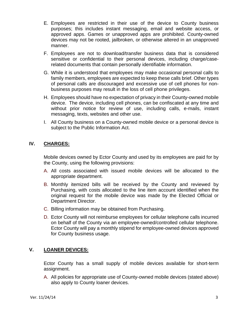- E. Employees are restricted in their use of the device to County business purposes; this includes instant messaging, email and website access, or approved apps. Games or unapproved apps are prohibited. County-owned devices may not be rooted, jailbroken, or otherwise altered in an unapproved manner.
- F. Employees are not to download/transfer business data that is considered sensitive or confidential to their personal devices, including charge/caserelated documents that contain personally identifiable information.
- G. While it is understood that employees may make occasional personal calls to family members, employees are expected to keep these calls brief. Other types of personal calls are discouraged and excessive use of cell phones for nonbusiness purposes may result in the loss of cell phone privileges.
- H. Employees should have no expectation of privacy in their County-owned mobile device. The device, including cell phones, can be confiscated at any time and without prior notice for review of use, including calls, e-mails, instant messaging, texts, websites and other use.
- I. All County business on a County-owned mobile device or a personal device is subject to the Public Information Act.

#### **IV. CHARGES:**

Mobile devices owned by Ector County and used by its employees are paid for by the County, using the following provisions:

- A. All costs associated with issued mobile devices will be allocated to the appropriate department.
- B. Monthly itemized bills will be received by the County and reviewed by Purchasing, with costs allocated to the line item account identified when the original request for the mobile device was made by the Elected Official or Department Director.
- C. Billing information may be obtained from Purchasing.
- D. Ector County will not reimburse employees for cellular telephone calls incurred on behalf of the County via an employee-owned/controlled cellular telephone. Ector County will pay a monthly stipend for employee-owned devices approved for County business usage.

#### **V. LOANER DEVICES:**

Ector County has a small supply of mobile devices available for short-term assignment.

A. All policies for appropriate use of County-owned mobile devices (stated above) also apply to County loaner devices.